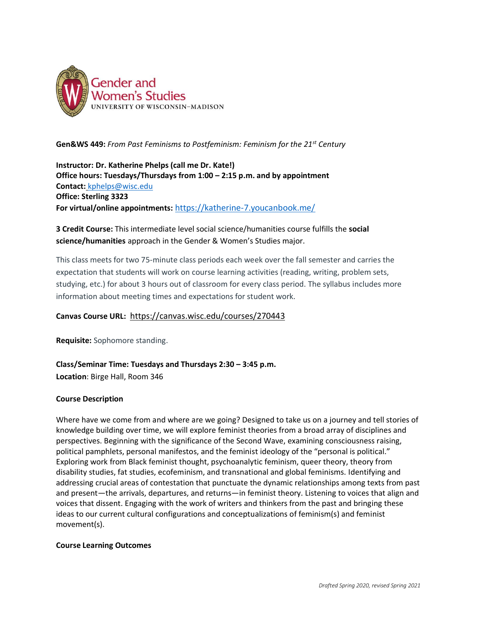

**Gen&WS 449:** *From Past Feminisms to Postfeminism: Feminism for the 21st Century*

**Instructor: Dr. Katherine Phelps (call me Dr. Kate!) Office hours: Tuesdays/Thursdays from 1:00 – 2:15 p.m. and by appointment Contact:** [kphelps@wisc.edu](mailto:kphelps@wisc.edu) **Office: Sterling 3323 For virtual/online appointments:** <https://katherine-7.youcanbook.me/>

# **3 Credit Course:** This intermediate level social science/humanities course fulfills the **social science/humanities** approach in the Gender & Women's Studies major.

This class meets for two 75-minute class periods each week over the fall semester and carries the expectation that students will work on course learning activities (reading, writing, problem sets, studying, etc.) for about 3 hours out of classroom for every class period. The syllabus includes more information about meeting times and expectations for student work.

# **Canvas Course URL:** <https://canvas.wisc.edu/courses/270443>

**Requisite:** Sophomore standing.

# **Class/Seminar Time: Tuesdays and Thursdays 2:30 – 3:45 p.m. Location**: Birge Hall, Room 346

# **Course Description**

Where have we come from and where are we going? Designed to take us on a journey and tell stories of knowledge building over time, we will explore feminist theories from a broad array of disciplines and perspectives. Beginning with the significance of the Second Wave, examining consciousness raising, political pamphlets, personal manifestos, and the feminist ideology of the "personal is political." Exploring work from Black feminist thought, psychoanalytic feminism, queer theory, theory from disability studies, fat studies, ecofeminism, and transnational and global feminisms. Identifying and addressing crucial areas of contestation that punctuate the dynamic relationships among texts from past and present—the arrivals, departures, and returns—in feminist theory. Listening to voices that align and voices that dissent. Engaging with the work of writers and thinkers from the past and bringing these ideas to our current cultural configurations and conceptualizations of feminism(s) and feminist movement(s).

# **Course Learning Outcomes**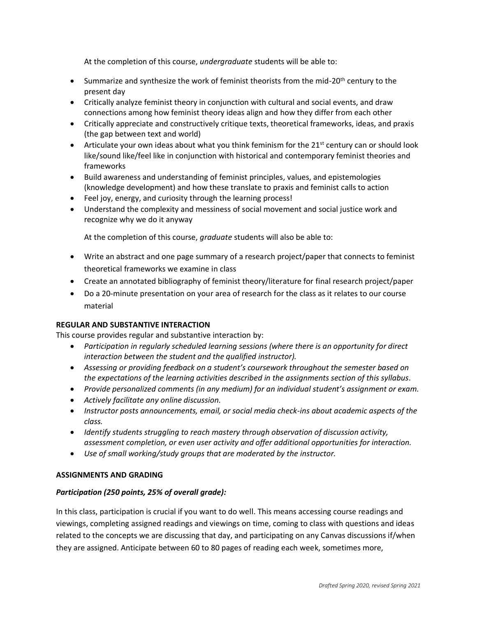At the completion of this course, *undergraduate* students will be able to:

- Summarize and synthesize the work of feminist theorists from the mid-20<sup>th</sup> century to the present day
- Critically analyze feminist theory in conjunction with cultural and social events, and draw connections among how feminist theory ideas align and how they differ from each other
- Critically appreciate and constructively critique texts, theoretical frameworks, ideas, and praxis (the gap between text and world)
- Articulate your own ideas about what you think feminism for the  $21^{st}$  century can or should look like/sound like/feel like in conjunction with historical and contemporary feminist theories and frameworks
- Build awareness and understanding of feminist principles, values, and epistemologies (knowledge development) and how these translate to praxis and feminist calls to action
- Feel joy, energy, and curiosity through the learning process!
- Understand the complexity and messiness of social movement and social justice work and recognize why we do it anyway

At the completion of this course, *graduate* students will also be able to:

- Write an abstract and one page summary of a research project/paper that connects to feminist theoretical frameworks we examine in class
- Create an annotated bibliography of feminist theory/literature for final research project/paper
- Do a 20-minute presentation on your area of research for the class as it relates to our course material

# **REGULAR AND SUBSTANTIVE INTERACTION**

This course provides regular and substantive interaction by:

- *Participation in regularly scheduled learning sessions (where there is an opportunity for direct interaction between the student and the qualified instructor).*
- *Assessing or providing feedback on a student's coursework throughout the semester based on the expectations of the learning activities described in the assignments section of this syllabus.*
- Provide personalized comments (in any medium) for an individual student's assignment or exam.
- *Actively facilitate any online discussion.*
- *Instructor posts announcements, email, or social media check-ins about academic aspects of the class.*
- *Identify students struggling to reach mastery through observation of discussion activity, assessment completion, or even user activity and offer additional opportunities for interaction.*
- *Use of small working/study groups that are moderated by the instructor.*

# **ASSIGNMENTS AND GRADING**

# *Participation (250 points, 25% of overall grade):*

In this class, participation is crucial if you want to do well. This means accessing course readings and viewings, completing assigned readings and viewings on time, coming to class with questions and ideas related to the concepts we are discussing that day, and participating on any Canvas discussions if/when they are assigned. Anticipate between 60 to 80 pages of reading each week, sometimes more,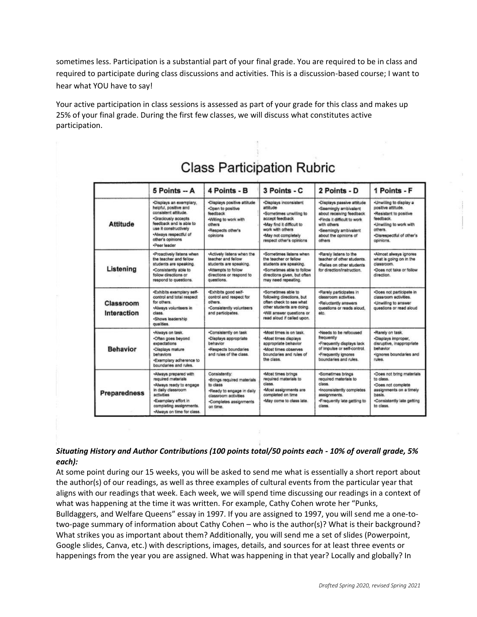sometimes less. Participation is a substantial part of your final grade. You are required to be in class and required to participate during class discussions and activities. This is a discussion-based course; I want to hear what YOU have to say!

Your active participation in class sessions is assessed as part of your grade for this class and makes up 25% of your final grade. During the first few classes, we will discuss what constitutes active participation.

|                          | $5$ Points $- A$                                                                                                                                                                                                 | 4 Points - B                                                                                                                                       | 3 Points - C                                                                                                                                                                          | 2 Points - D                                                                                                                                                                               | 1 Points - F                                                                                                                                                         |
|--------------------------|------------------------------------------------------------------------------------------------------------------------------------------------------------------------------------------------------------------|----------------------------------------------------------------------------------------------------------------------------------------------------|---------------------------------------------------------------------------------------------------------------------------------------------------------------------------------------|--------------------------------------------------------------------------------------------------------------------------------------------------------------------------------------------|----------------------------------------------------------------------------------------------------------------------------------------------------------------------|
| <b>Attitude</b>          | *Displays an exemplary,<br>helpful, positive and<br>consistent attitude.<br>*Graciously accepts<br>feedback and is able to<br>use it constructively<br>«Always respectful of<br>other's opinions<br>·Peer leader | *Displays positive attitude<br>-Open to positive<br>feedback<br>-Willing to work with<br>others<br>-Respects other's<br>opinions                   | ·Displays inconsistent<br>attitude<br>*Sometimes unwilling to<br>accept feedback<br>-May find it difficult to<br>work with others.<br>-May not completely<br>respect other's opinions | *Displays passive attitude<br>*Seemingly ambivalent<br>about receiving feedback<br>.Finds it difficult to work<br>with others.<br>-Seemingly ambivalent<br>about the opinions of<br>others | *Unwilling to display a<br>positive attitude.<br>-Resistant to positive<br>feedback.<br>.Unwilling to work with<br>others.<br>·Disrespectful of other's<br>opinions. |
| Listening                | ·Proactively fistens when<br>the teacher and fellow<br>students are speaking.<br>.Consistently able to<br>follow directions or<br>respond to questions.                                                          | -Actively listens when the<br>teacher and fellow<br>students are speaking.<br>.Attempts to follow<br>directions or respond to<br>questions.        | ·Sometimes listens when<br>the teacher or fellow<br>students are speaking.<br>.Sometimes able to follow<br>directions given, but often<br>may need repeating.                         | .Rarely listens to the<br>teacher of other students.<br>-Relies on other students<br>for direction/instruction.                                                                            | «Almost always ignores<br>what is going on in the<br>classroom.<br>-Does not take or follow<br>direction.                                                            |
| Classroom<br>Interaction | .Exhibits exemplary self-<br>control and total respect<br>for others.<br>Always volunteers in<br>class.<br>·Shows leadership<br>qualities.                                                                       | .Exhibits good self-<br>control and respect for<br>others.<br>.Consistently volunteers<br>and participates.                                        | .Sometimes able to<br>following directions, but<br>often check to see what<br>other students are doing.<br>-Will answer questions or<br>read aloud if called upon.                    | -Rarely participates in<br>classroom activities.<br>-Reluctantly answers<br>questions or reads aloud.<br>etc.                                                                              | *Does not participate in<br>classroom activities.<br>-Unwilling to answer<br>questions or read aloud                                                                 |
| <b>Behavior</b>          | Always on task.<br>-Often goes beyond<br>expectations<br>·Displays mature<br>behaviors<br>.Exemplary adherence to<br>boundaries and rules.                                                                       | *Consistently on task<br>·Disclays appropriate<br>behavior<br>*Respects boundaries<br>and rules of the class.                                      | ·Most times is on task.<br>«Most times displays<br>appropriate behavior<br>«Most times observes<br>boundaries and rules of<br>the class.                                              | -Needs to be refocused<br>frequently<br>.Frequently displays lack<br>of impulse or self-control.<br>-Frequently ignores<br>boundaries and rules.                                           | -Rarely on task.<br>-Displays improper,<br>disruptive, inappropriate<br>behavior<br>·lgnores boundaries and<br>rules.                                                |
| <b>Preparedness</b>      | «Always prepared with<br>required materials<br>«Always ready to engage<br>in daily classroom<br>activities<br>*Exemplary effort in<br>completing assignments.<br>-Always on time for class.                      | Consistently:<br>·Brings required materials<br>to class<br>-Ready to engage in daily<br>classroom activities<br>·Completes assignments<br>on time. | Most times brings<br>required materials to<br>class.<br>-Most assignments are<br>completed on time<br>-May come to class late.                                                        | ·Sometimes brings<br>required materials to<br>class.<br>-Inconsistently completes<br>assignments.<br>*Frequently late getting to<br>class.                                                 | ·Does not bring materials<br>to class.<br>·Does not complete<br>assignments on a timely<br>basis.<br>.Consistently late getting<br>to class.                         |

# **Class Participation Rubric**

# *Situating History and Author Contributions (100 points total/50 points each - 10% of overall grade, 5% each):*

At some point during our 15 weeks, you will be asked to send me what is essentially a short report about the author(s) of our readings, as well as three examples of cultural events from the particular year that aligns with our readings that week. Each week, we will spend time discussing our readings in a context of what was happening at the time it was written. For example, Cathy Cohen wrote her "Punks, Bulldaggers, and Welfare Queens" essay in 1997. If you are assigned to 1997, you will send me a one-totwo-page summary of information about Cathy Cohen – who is the author(s)? What is their background? What strikes you as important about them? Additionally, you will send me a set of slides (Powerpoint, Google slides, Canva, etc.) with descriptions, images, details, and sources for at least three events or happenings from the year you are assigned. What was happening in that year? Locally and globally? In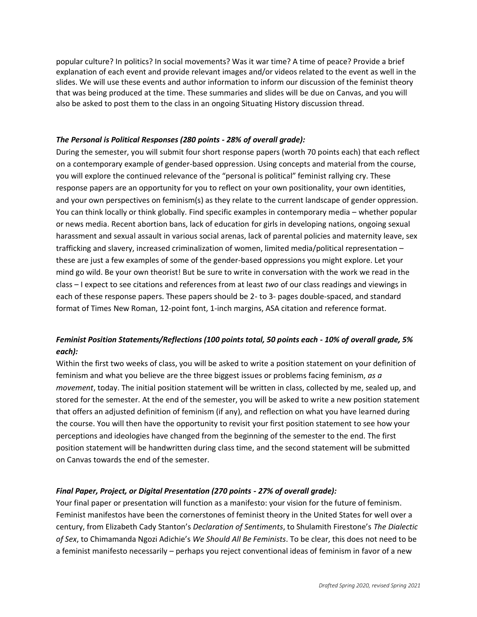popular culture? In politics? In social movements? Was it war time? A time of peace? Provide a brief explanation of each event and provide relevant images and/or videos related to the event as well in the slides. We will use these events and author information to inform our discussion of the feminist theory that was being produced at the time. These summaries and slides will be due on Canvas, and you will also be asked to post them to the class in an ongoing Situating History discussion thread.

### *The Personal is Political Responses (280 points - 28% of overall grade):*

During the semester, you will submit four short response papers (worth 70 points each) that each reflect on a contemporary example of gender-based oppression. Using concepts and material from the course, you will explore the continued relevance of the "personal is political" feminist rallying cry. These response papers are an opportunity for you to reflect on your own positionality, your own identities, and your own perspectives on feminism(s) as they relate to the current landscape of gender oppression. You can think locally or think globally. Find specific examples in contemporary media – whether popular or news media. Recent abortion bans, lack of education for girls in developing nations, ongoing sexual harassment and sexual assault in various social arenas, lack of parental policies and maternity leave, sex trafficking and slavery, increased criminalization of women, limited media/political representation – these are just a few examples of some of the gender-based oppressions you might explore. Let your mind go wild. Be your own theorist! But be sure to write in conversation with the work we read in the class – I expect to see citations and references from at least *two* of our class readings and viewings in each of these response papers. These papers should be 2- to 3- pages double-spaced, and standard format of Times New Roman, 12-point font, 1-inch margins, ASA citation and reference format.

# *Feminist Position Statements/Reflections (100 points total, 50 points each - 10% of overall grade, 5% each):*

Within the first two weeks of class, you will be asked to write a position statement on your definition of feminism and what you believe are the three biggest issues or problems facing feminism, *as a movement*, today. The initial position statement will be written in class, collected by me, sealed up, and stored for the semester. At the end of the semester, you will be asked to write a new position statement that offers an adjusted definition of feminism (if any), and reflection on what you have learned during the course. You will then have the opportunity to revisit your first position statement to see how your perceptions and ideologies have changed from the beginning of the semester to the end. The first position statement will be handwritten during class time, and the second statement will be submitted on Canvas towards the end of the semester.

# *Final Paper, Project, or Digital Presentation (270 points - 27% of overall grade):*

Your final paper or presentation will function as a manifesto: your vision for the future of feminism. Feminist manifestos have been the cornerstones of feminist theory in the United States for well over a century, from Elizabeth Cady Stanton's *Declaration of Sentiments*, to Shulamith Firestone's *The Dialectic of Sex*, to Chimamanda Ngozi Adichie's *We Should All Be Feminists*. To be clear, this does not need to be a feminist manifesto necessarily – perhaps you reject conventional ideas of feminism in favor of a new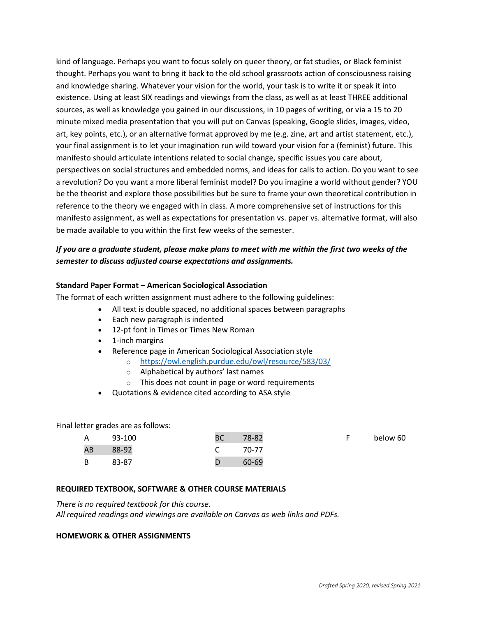kind of language. Perhaps you want to focus solely on queer theory, or fat studies, or Black feminist thought. Perhaps you want to bring it back to the old school grassroots action of consciousness raising and knowledge sharing. Whatever your vision for the world, your task is to write it or speak it into existence. Using at least SIX readings and viewings from the class, as well as at least THREE additional sources, as well as knowledge you gained in our discussions, in 10 pages of writing, or via a 15 to 20 minute mixed media presentation that you will put on Canvas (speaking, Google slides, images, video, art, key points, etc.), or an alternative format approved by me (e.g. zine, art and artist statement, etc.), your final assignment is to let your imagination run wild toward your vision for a (feminist) future. This manifesto should articulate intentions related to social change, specific issues you care about, perspectives on social structures and embedded norms, and ideas for calls to action. Do you want to see a revolution? Do you want a more liberal feminist model? Do you imagine a world without gender? YOU be the theorist and explore those possibilities but be sure to frame your own theoretical contribution in reference to the theory we engaged with in class. A more comprehensive set of instructions for this manifesto assignment, as well as expectations for presentation vs. paper vs. alternative format, will also be made available to you within the first few weeks of the semester.

# *If you are a graduate student, please make plans to meet with me within the first two weeks of the semester to discuss adjusted course expectations and assignments.*

### **Standard Paper Format – American Sociological Association**

The format of each written assignment must adhere to the following guidelines:

- All text is double spaced, no additional spaces between paragraphs
- Each new paragraph is indented
- 12-pt font in Times or Times New Roman
- 1-inch margins
- Reference page in American Sociological Association style
	- o <https://owl.english.purdue.edu/owl/resource/583/03/>
	- o Alphabetical by authors' last names
	- o This does not count in page or word requirements
- Quotations & evidence cited according to ASA style

Final letter grades are as follows:

| $\mathsf{A}$ | 93-100 | <b>BC</b> | 78-82 | below 60 |
|--------------|--------|-----------|-------|----------|
| AB           | 88-92  |           | 70-77 |          |
| B            | 83-87  |           | 60-69 |          |

## **REQUIRED TEXTBOOK, SOFTWARE & OTHER COURSE MATERIALS**

*There is no required textbook for this course. All required readings and viewings are available on Canvas as web links and PDFs.* 

### **HOMEWORK & OTHER ASSIGNMENTS**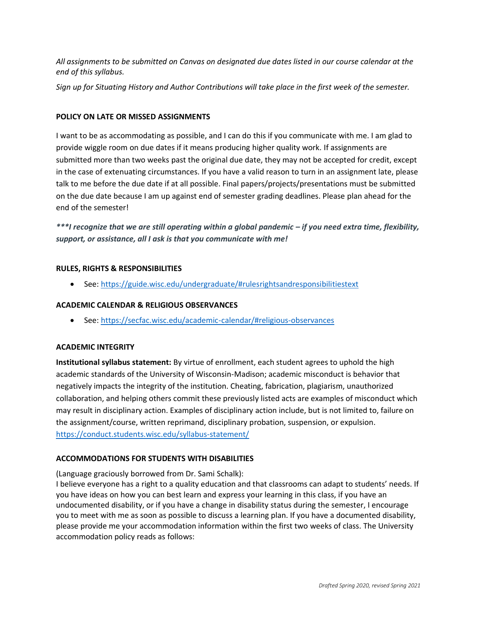*All assignments to be submitted on Canvas on designated due dates listed in our course calendar at the end of this syllabus.* 

*Sign up for Situating History and Author Contributions will take place in the first week of the semester.*

## **POLICY ON LATE OR MISSED ASSIGNMENTS**

I want to be as accommodating as possible, and I can do this if you communicate with me. I am glad to provide wiggle room on due dates if it means producing higher quality work. If assignments are submitted more than two weeks past the original due date, they may not be accepted for credit, except in the case of extenuating circumstances. If you have a valid reason to turn in an assignment late, please talk to me before the due date if at all possible. Final papers/projects/presentations must be submitted on the due date because I am up against end of semester grading deadlines. Please plan ahead for the end of the semester!

*\*\*\*I recognize that we are still operating within a global pandemic – if you need extra time, flexibility, support, or assistance, all I ask is that you communicate with me!* 

### **RULES, RIGHTS & RESPONSIBILITIES**

• See:<https://guide.wisc.edu/undergraduate/#rulesrightsandresponsibilitiestext>

### **ACADEMIC CALENDAR & RELIGIOUS OBSERVANCES**

• See:<https://secfac.wisc.edu/academic-calendar/#religious-observances>

#### **ACADEMIC INTEGRITY**

**Institutional syllabus statement:** By virtue of enrollment, each student agrees to uphold the high academic standards of the University of Wisconsin-Madison; academic misconduct is behavior that negatively impacts the integrity of the institution. Cheating, fabrication, plagiarism, unauthorized collaboration, and helping others commit these previously listed acts are examples of misconduct which may result in disciplinary action. Examples of disciplinary action include, but is not limited to, failure on the assignment/course, written reprimand, disciplinary probation, suspension, or expulsion. <https://conduct.students.wisc.edu/syllabus-statement/>

#### **ACCOMMODATIONS FOR STUDENTS WITH DISABILITIES**

(Language graciously borrowed from Dr. Sami Schalk):

I believe everyone has a right to a quality education and that classrooms can adapt to students' needs. If you have ideas on how you can best learn and express your learning in this class, if you have an undocumented disability, or if you have a change in disability status during the semester, I encourage you to meet with me as soon as possible to discuss a learning plan. If you have a documented disability, please provide me your accommodation information within the first two weeks of class. The University accommodation policy reads as follows: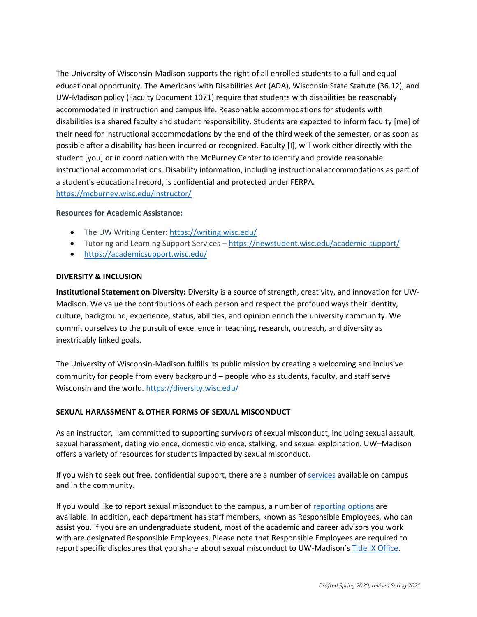The University of Wisconsin-Madison supports the right of all enrolled students to a full and equal educational opportunity. The Americans with Disabilities Act (ADA), Wisconsin State Statute (36.12), and UW-Madison policy (Faculty Document 1071) require that students with disabilities be reasonably accommodated in instruction and campus life. Reasonable accommodations for students with disabilities is a shared faculty and student responsibility. Students are expected to inform faculty [me] of their need for instructional accommodations by the end of the third week of the semester, or as soon as possible after a disability has been incurred or recognized. Faculty [I], will work either directly with the student [you] or in coordination with the McBurney Center to identify and provide reasonable instructional accommodations. Disability information, including instructional accommodations as part of a student's educational record, is confidential and protected under FERPA. <https://mcburney.wisc.edu/instructor/>

### **Resources for Academic Assistance:**

- The UW Writing Center: <https://writing.wisc.edu/>
- Tutoring and Learning Support Services <https://newstudent.wisc.edu/academic-support/>
- <https://academicsupport.wisc.edu/>

### **DIVERSITY & INCLUSION**

**Institutional Statement on Diversity:** Diversity is a source of strength, creativity, and innovation for UW-Madison. We value the contributions of each person and respect the profound ways their identity, culture, background, experience, status, abilities, and opinion enrich the university community. We commit ourselves to the pursuit of excellence in teaching, research, outreach, and diversity as inextricably linked goals.

The University of Wisconsin-Madison fulfills its public mission by creating a welcoming and inclusive community for people from every background – people who as students, faculty, and staff serve Wisconsin and the world. <https://diversity.wisc.edu/>

# **SEXUAL HARASSMENT & OTHER FORMS OF SEXUAL MISCONDUCT**

As an instructor, I am committed to supporting survivors of sexual misconduct, including sexual assault, sexual harassment, dating violence, domestic violence, stalking, and sexual exploitation. UW–Madison offers a variety of resources for students impacted by sexual misconduct.

If you wish to seek out free, confidential support, there are a number of [services](https://www.uhs.wisc.edu/survivor-services/campus-community-resources-for-victims/) available on campus and in the community.

If you would like to report sexual misconduct to the campus, a number of [reporting options](https://compliance.wisc.edu/titleix/student-information/) are available. In addition, each department has staff members, known as Responsible Employees, who can assist you. If you are an undergraduate student, most of the academic and career advisors you work with are designated Responsible Employees. Please note that Responsible Employees are required to report specific disclosures that you share about sexual misconduct to UW-Madison's [Title IX Office.](https://compliance.wisc.edu/titleix/)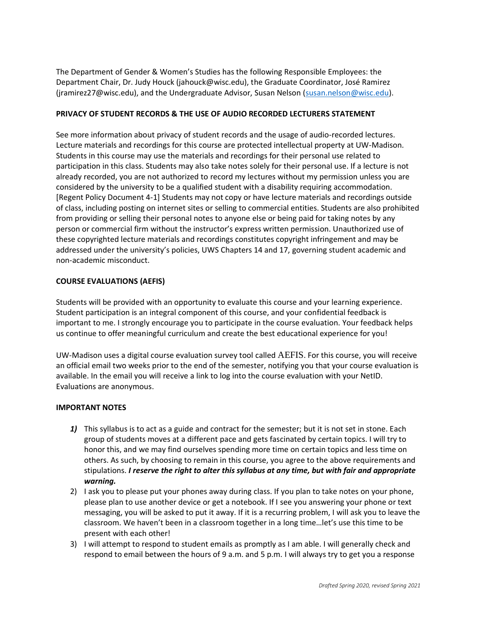The Department of Gender & Women's Studies has the following Responsible Employees: the Department Chair, Dr. Judy Houck (jahouck@wisc.edu), the Graduate Coordinator, José Ramirez (jramirez27@wisc.edu), and the Undergraduate Advisor, Susan Nelson [\(susan.nelson@wisc.edu\)](mailto:susan.nelson@wisc.edu).

# **PRIVACY OF STUDENT RECORDS & THE USE OF AUDIO RECORDED LECTURERS STATEMENT**

See more information about [privacy of student records and the usage of audio-recorded lectures.](https://instructionalcontinuity.wisc.edu/2020/04/03/privacy-of-student-records-and-the-usage-of-audio-recorded-lectures/) Lecture materials and recordings for this course are protected intellectual property at UW-Madison. Students in this course may use the materials and recordings for their personal use related to participation in this class. Students may also take notes solely for their personal use. If a lecture is not already recorded, you are not authorized to record my lectures without my permission unless you are considered by the university to be a qualified student with a disability requiring accommodation. [Regent Policy Document 4-1] Students may not copy or have lecture materials and recordings outside of class, including posting on internet sites or selling to commercial entities. Students are also prohibited from providing or selling their personal notes to anyone else or being paid for taking notes by any person or commercial firm without the instructor's express written permission. Unauthorized use of these copyrighted lecture materials and recordings constitutes copyright infringement and may be addressed under the university's policies, UWS Chapters 14 and 17, governing student academic and non-academic misconduct.

# **COURSE EVALUATIONS (AEFIS)**

Students will be provided with an opportunity to evaluate this course and your learning experience. Student participation is an integral component of this course, and your confidential feedback is important to me. I strongly encourage you to participate in the course evaluation. Your feedback helps us continue to offer meaningful curriculum and create the best educational experience for you!

UW-Madison uses a digital course evaluation survey tool called [AEFIS](https://kb.wisc.edu/luwmad/page.php?id=81069). For this course, you will receive an official email two weeks prior to the end of the semester, notifying you that your course evaluation is available. In the email you will receive a link to log into the course evaluation with your NetID. Evaluations are anonymous.

# **IMPORTANT NOTES**

- *1)* This syllabus is to act as a guide and contract for the semester; but it is not set in stone. Each group of students moves at a different pace and gets fascinated by certain topics. I will try to honor this, and we may find ourselves spending more time on certain topics and less time on others. As such, by choosing to remain in this course, you agree to the above requirements and stipulations. *I reserve the right to alter this syllabus at any time, but with fair and appropriate warning.*
- 2) I ask you to please put your phones away during class. If you plan to take notes on your phone, please plan to use another device or get a notebook. If I see you answering your phone or text messaging, you will be asked to put it away. If it is a recurring problem, I will ask you to leave the classroom. We haven't been in a classroom together in a long time…let's use this time to be present with each other!
- 3) I will attempt to respond to student emails as promptly as I am able. I will generally check and respond to email between the hours of 9 a.m. and 5 p.m. I will always try to get you a response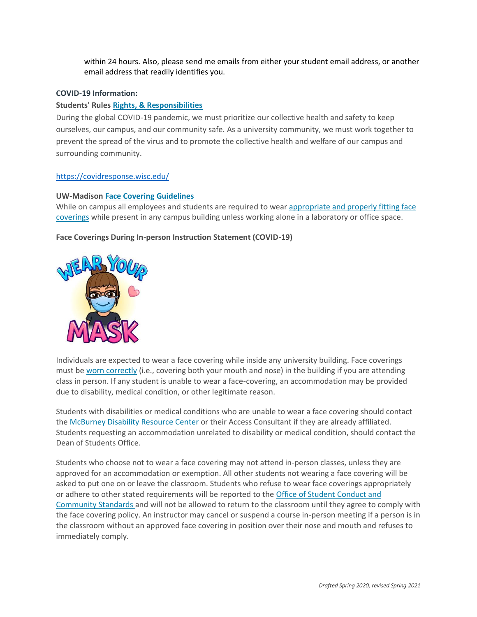within 24 hours. Also, please send me emails from either your student email address, or another email address that readily identifies you.

#### **COVID-19 Information:**

#### **Students' Rules [Rights, & Responsibilities](https://guide.wisc.edu/undergraduate/#rulesrightsandresponsibilitiestext)**

During the global COVID-19 pandemic, we must prioritize our collective health and safety to keep ourselves, our campus, and our community safe. As a university community, we must work together to prevent the spread of the virus and to promote the collective health and welfare of our campus and surrounding community.

#### <https://covidresponse.wisc.edu/>

#### **UW-Madison [Face Covering Guidelines](https://d1cjb8q1w2lzm7.cloudfront.net/wp-content/uploads/sites/22/2020/06/Cloth-face-cover-guidance-06-22-20-final.pdf)**

While on campus all employees and students are required to wear [appropriate and properly fitting face](https://www.cdc.gov/coronavirus/2019-ncov/prevent-getting-sick/how-to-wear-cloth-face-coverings.html)  [coverings](https://www.cdc.gov/coronavirus/2019-ncov/prevent-getting-sick/how-to-wear-cloth-face-coverings.html) while present in any campus building unless working alone in a laboratory or office space.

#### **Face Coverings During In-person Instruction Statement (COVID-19)**



Individuals are expected to wear a face covering while inside any university building. Face coverings must be [worn correctly](https://www.cdc.gov/coronavirus/2019-ncov/prevent-getting-sick/how-to-wear-cloth-face-coverings.html) (i.e., covering both your mouth and nose) in the building if you are attending class in person. If any student is unable to wear a face-covering, an accommodation may be provided due to disability, medical condition, or other legitimate reason.

Students with disabilities or medical conditions who are unable to wear a face covering should contact the [McBurney Disability Resource Center](https://mcburney.wisc.edu/) or their Access Consultant if they are already affiliated. Students requesting an accommodation unrelated to disability or medical condition, should contact the Dean of Students Office.

Students who choose not to wear a face covering may not attend in-person classes, unless they are approved for an accommodation or exemption. All other students not wearing a face covering will be asked to put one on or leave the classroom. Students who refuse to wear face coverings appropriately or adhere to other stated requirements will be reported to the [Office of Student Conduct and](https://conduct.students.wisc.edu/)  [Community Standards](https://conduct.students.wisc.edu/) and will not be allowed to return to the classroom until they agree to comply with the face covering policy. An instructor may cancel or suspend a course in-person meeting if a person is in the classroom without an approved face covering in position over their nose and mouth and refuses to immediately comply.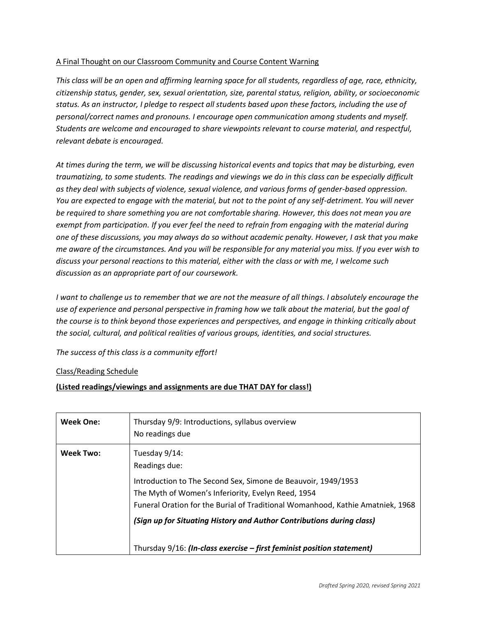# A Final Thought on our Classroom Community and Course Content Warning

*This class will be an open and affirming learning space for all students, regardless of age, race, ethnicity, citizenship status, gender, sex, sexual orientation, size, parental status, religion, ability, or socioeconomic status. As an instructor, I pledge to respect all students based upon these factors, including the use of personal/correct names and pronouns. I encourage open communication among students and myself. Students are welcome and encouraged to share viewpoints relevant to course material, and respectful, relevant debate is encouraged.*

*At times during the term, we will be discussing historical events and topics that may be disturbing, even traumatizing, to some students. The readings and viewings we do in this class can be especially difficult as they deal with subjects of violence, sexual violence, and various forms of gender-based oppression. You are expected to engage with the material, but not to the point of any self-detriment. You will never be required to share something you are not comfortable sharing. However, this does not mean you are exempt from participation. If you ever feel the need to refrain from engaging with the material during one of these discussions, you may always do so without academic penalty. However, I ask that you make me aware of the circumstances. And you will be responsible for any material you miss. If you ever wish to discuss your personal reactions to this material, either with the class or with me, I welcome such discussion as an appropriate part of our coursework.*

*I* want to challenge us to remember that we are not the measure of all things. *I* absolutely encourage the *use of experience and personal perspective in framing how we talk about the material, but the goal of the course is to think beyond those experiences and perspectives, and engage in thinking critically about the social, cultural, and political realities of various groups, identities, and social structures.*

# *The success of this class is a community effort!*

# Class/Reading Schedule

# **(Listed readings/viewings and assignments are due THAT DAY for class!)**

| <b>Week One:</b> | Thursday 9/9: Introductions, syllabus overview<br>No readings due                                                                                                                                                                    |
|------------------|--------------------------------------------------------------------------------------------------------------------------------------------------------------------------------------------------------------------------------------|
| <b>Week Two:</b> | Tuesday 9/14:<br>Readings due:<br>Introduction to The Second Sex, Simone de Beauvoir, 1949/1953<br>The Myth of Women's Inferiority, Evelyn Reed, 1954                                                                                |
|                  | Funeral Oration for the Burial of Traditional Womanhood, Kathie Amatniek, 1968<br>(Sign up for Situating History and Author Contributions during class)<br>Thursday $9/16$ : (In-class exercise – first feminist position statement) |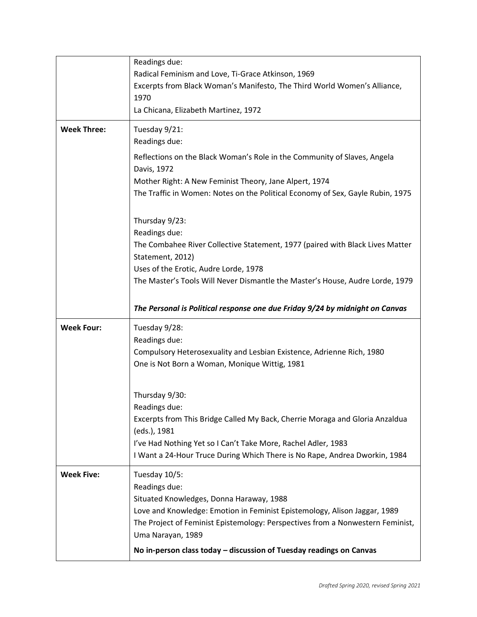|                    | Readings due:<br>Radical Feminism and Love, Ti-Grace Atkinson, 1969<br>Excerpts from Black Woman's Manifesto, The Third World Women's Alliance,<br>1970<br>La Chicana, Elizabeth Martinez, 1972                                                                                                                                                                                                                                            |
|--------------------|--------------------------------------------------------------------------------------------------------------------------------------------------------------------------------------------------------------------------------------------------------------------------------------------------------------------------------------------------------------------------------------------------------------------------------------------|
| <b>Week Three:</b> | Tuesday 9/21:<br>Readings due:<br>Reflections on the Black Woman's Role in the Community of Slaves, Angela<br>Davis, 1972<br>Mother Right: A New Feminist Theory, Jane Alpert, 1974<br>The Traffic in Women: Notes on the Political Economy of Sex, Gayle Rubin, 1975                                                                                                                                                                      |
|                    | Thursday 9/23:<br>Readings due:<br>The Combahee River Collective Statement, 1977 (paired with Black Lives Matter<br>Statement, 2012)<br>Uses of the Erotic, Audre Lorde, 1978<br>The Master's Tools Will Never Dismantle the Master's House, Audre Lorde, 1979<br>The Personal is Political response one due Friday 9/24 by midnight on Canvas                                                                                             |
| <b>Week Four:</b>  | Tuesday 9/28:<br>Readings due:<br>Compulsory Heterosexuality and Lesbian Existence, Adrienne Rich, 1980<br>One is Not Born a Woman, Monique Wittig, 1981<br>Thursday 9/30:<br>Readings due:<br>Excerpts from This Bridge Called My Back, Cherrie Moraga and Gloria Anzaldua<br>(eds.), 1981<br>I've Had Nothing Yet so I Can't Take More, Rachel Adler, 1983<br>I Want a 24-Hour Truce During Which There is No Rape, Andrea Dworkin, 1984 |
| <b>Week Five:</b>  | Tuesday 10/5:<br>Readings due:<br>Situated Knowledges, Donna Haraway, 1988<br>Love and Knowledge: Emotion in Feminist Epistemology, Alison Jaggar, 1989<br>The Project of Feminist Epistemology: Perspectives from a Nonwestern Feminist,<br>Uma Narayan, 1989<br>No in-person class today - discussion of Tuesday readings on Canvas                                                                                                      |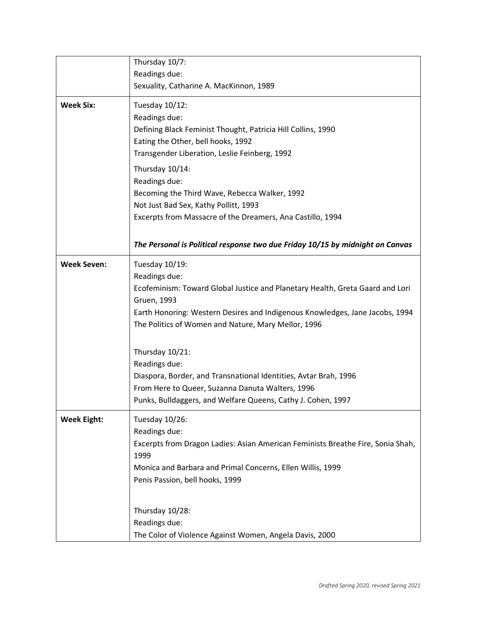|                    | Thursday 10/7:                                                                                                                                                                                                                                                                                                                                                                                                                                                                                     |  |
|--------------------|----------------------------------------------------------------------------------------------------------------------------------------------------------------------------------------------------------------------------------------------------------------------------------------------------------------------------------------------------------------------------------------------------------------------------------------------------------------------------------------------------|--|
|                    | Readings due:                                                                                                                                                                                                                                                                                                                                                                                                                                                                                      |  |
|                    | Sexuality, Catharine A. MacKinnon, 1989                                                                                                                                                                                                                                                                                                                                                                                                                                                            |  |
| <b>Week Six:</b>   | Tuesday 10/12:<br>Readings due:<br>Defining Black Feminist Thought, Patricia Hill Collins, 1990<br>Eating the Other, bell hooks, 1992<br>Transgender Liberation, Leslie Feinberg, 1992<br>Thursday 10/14:<br>Readings due:<br>Becoming the Third Wave, Rebecca Walker, 1992<br>Not Just Bad Sex, Kathy Pollitt, 1993<br>Excerpts from Massacre of the Dreamers, Ana Castillo, 1994                                                                                                                 |  |
|                    | The Personal is Political response two due Friday 10/15 by midnight on Canvas                                                                                                                                                                                                                                                                                                                                                                                                                      |  |
| <b>Week Seven:</b> | Tuesday 10/19:<br>Readings due:<br>Ecofeminism: Toward Global Justice and Planetary Health, Greta Gaard and Lori<br>Gruen, 1993<br>Earth Honoring: Western Desires and Indigenous Knowledges, Jane Jacobs, 1994<br>The Politics of Women and Nature, Mary Mellor, 1996<br>Thursday 10/21:<br>Readings due:<br>Diaspora, Border, and Transnational Identities, Avtar Brah, 1996<br>From Here to Queer, Suzanna Danuta Walters, 1996<br>Punks, Bulldaggers, and Welfare Queens, Cathy J. Cohen, 1997 |  |
| <b>Week Eight:</b> | Tuesday 10/26:<br>Readings due:<br>Excerpts from Dragon Ladies: Asian American Feminists Breathe Fire, Sonia Shah,<br>1999<br>Monica and Barbara and Primal Concerns, Ellen Willis, 1999<br>Penis Passion, bell hooks, 1999<br>Thursday 10/28:<br>Readings due:<br>The Color of Violence Against Women, Angela Davis, 2000                                                                                                                                                                         |  |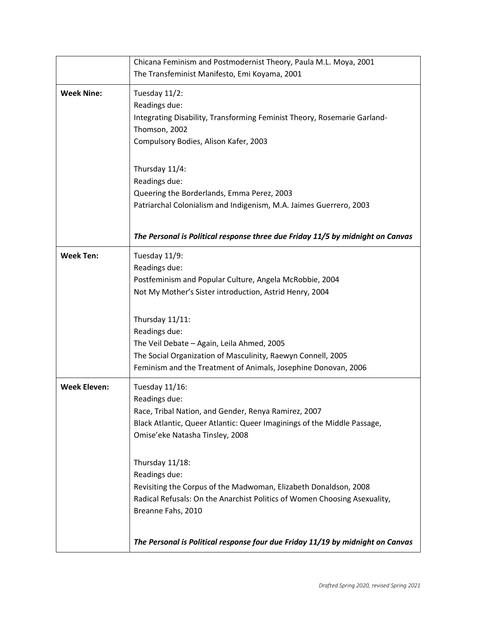|                     | Chicana Feminism and Postmodernist Theory, Paula M.L. Moya, 2001                                                                                                                                                                                                                                                                                                                                                                                                                                   |  |
|---------------------|----------------------------------------------------------------------------------------------------------------------------------------------------------------------------------------------------------------------------------------------------------------------------------------------------------------------------------------------------------------------------------------------------------------------------------------------------------------------------------------------------|--|
|                     | The Transfeminist Manifesto, Emi Koyama, 2001                                                                                                                                                                                                                                                                                                                                                                                                                                                      |  |
| <b>Week Nine:</b>   | Tuesday 11/2:<br>Readings due:<br>Integrating Disability, Transforming Feminist Theory, Rosemarie Garland-<br>Thomson, 2002<br>Compulsory Bodies, Alison Kafer, 2003<br>Thursday 11/4:<br>Readings due:<br>Queering the Borderlands, Emma Perez, 2003<br>Patriarchal Colonialism and Indigenism, M.A. Jaimes Guerrero, 2003<br>The Personal is Political response three due Friday 11/5 by midnight on Canvas                                                                                      |  |
| <b>Week Ten:</b>    | Tuesday 11/9:<br>Readings due:<br>Postfeminism and Popular Culture, Angela McRobbie, 2004<br>Not My Mother's Sister introduction, Astrid Henry, 2004<br>Thursday 11/11:<br>Readings due:<br>The Veil Debate - Again, Leila Ahmed, 2005<br>The Social Organization of Masculinity, Raewyn Connell, 2005<br>Feminism and the Treatment of Animals, Josephine Donovan, 2006                                                                                                                           |  |
| <b>Week Eleven:</b> | Tuesday 11/16:<br>Readings due:<br>Race, Tribal Nation, and Gender, Renya Ramirez, 2007<br>Black Atlantic, Queer Atlantic: Queer Imaginings of the Middle Passage,<br>Omise'eke Natasha Tinsley, 2008<br>Thursday 11/18:<br>Readings due:<br>Revisiting the Corpus of the Madwoman, Elizabeth Donaldson, 2008<br>Radical Refusals: On the Anarchist Politics of Women Choosing Asexuality,<br>Breanne Fahs, 2010<br>The Personal is Political response four due Friday 11/19 by midnight on Canvas |  |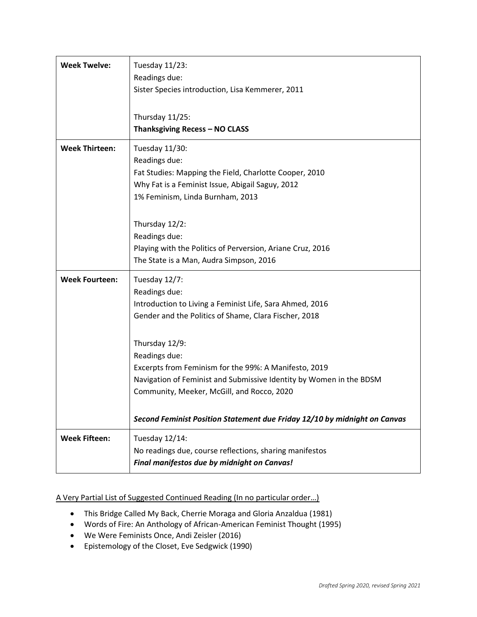| <b>Week Twelve:</b>   | Tuesday 11/23:<br>Readings due:<br>Sister Species introduction, Lisa Kemmerer, 2011<br>Thursday 11/25:<br>Thanksgiving Recess - NO CLASS                                                                                                                                                                                                                                                                                                          |
|-----------------------|---------------------------------------------------------------------------------------------------------------------------------------------------------------------------------------------------------------------------------------------------------------------------------------------------------------------------------------------------------------------------------------------------------------------------------------------------|
| <b>Week Thirteen:</b> | Tuesday 11/30:<br>Readings due:<br>Fat Studies: Mapping the Field, Charlotte Cooper, 2010<br>Why Fat is a Feminist Issue, Abigail Saguy, 2012<br>1% Feminism, Linda Burnham, 2013<br>Thursday 12/2:<br>Readings due:<br>Playing with the Politics of Perversion, Ariane Cruz, 2016<br>The State is a Man, Audra Simpson, 2016                                                                                                                     |
| <b>Week Fourteen:</b> | Tuesday 12/7:<br>Readings due:<br>Introduction to Living a Feminist Life, Sara Ahmed, 2016<br>Gender and the Politics of Shame, Clara Fischer, 2018<br>Thursday 12/9:<br>Readings due:<br>Excerpts from Feminism for the 99%: A Manifesto, 2019<br>Navigation of Feminist and Submissive Identity by Women in the BDSM<br>Community, Meeker, McGill, and Rocco, 2020<br>Second Feminist Position Statement due Friday 12/10 by midnight on Canvas |
| <b>Week Fifteen:</b>  | Tuesday 12/14:<br>No readings due, course reflections, sharing manifestos<br>Final manifestos due by midnight on Canvas!                                                                                                                                                                                                                                                                                                                          |

# A Very Partial List of Suggested Continued Reading (In no particular order…)

- This Bridge Called My Back, Cherrie Moraga and Gloria Anzaldua (1981)
- Words of Fire: An Anthology of African-American Feminist Thought (1995)
- We Were Feminists Once, Andi Zeisler (2016)
- Epistemology of the Closet, Eve Sedgwick (1990)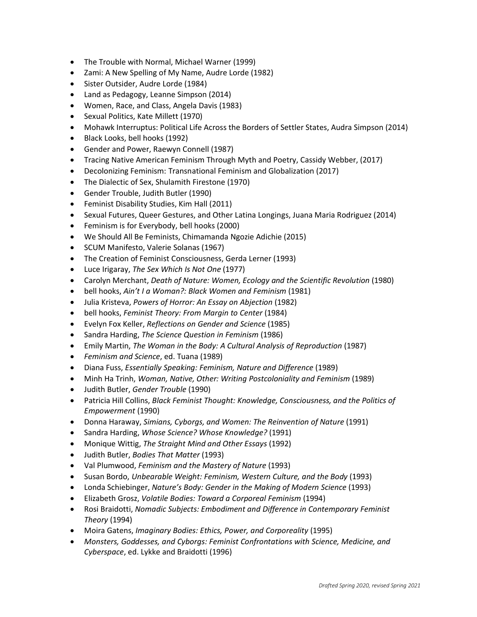- The Trouble with Normal, Michael Warner (1999)
- Zami: A New Spelling of My Name, Audre Lorde (1982)
- Sister Outsider, Audre Lorde (1984)
- Land as Pedagogy, Leanne Simpson (2014)
- Women, Race, and Class, Angela Davis (1983)
- Sexual Politics, Kate Millett (1970)
- Mohawk Interruptus: Political Life Across the Borders of Settler States, Audra Simpson (2014)
- Black Looks, bell hooks (1992)
- Gender and Power, Raewyn Connell (1987)
- Tracing Native American Feminism Through Myth and Poetry, Cassidy Webber, (2017)
- Decolonizing Feminism: Transnational Feminism and Globalization (2017)
- The Dialectic of Sex, Shulamith Firestone (1970)
- Gender Trouble, Judith Butler (1990)
- Feminist Disability Studies, Kim Hall (2011)
- Sexual Futures, Queer Gestures, and Other Latina Longings, Juana Maria Rodriguez (2014)
- Feminism is for Everybody, bell hooks (2000)
- We Should All Be Feminists, Chimamanda Ngozie Adichie (2015)
- SCUM Manifesto, Valerie Solanas (1967)
- The Creation of Feminist Consciousness, Gerda Lerner (1993)
- Luce Irigaray, *The Sex Which Is Not One* (1977)
- Carolyn Merchant, *Death of Nature: Women, Ecology and the Scientific Revolution* (1980)
- bell hooks, *Ain't I a Woman?: Black Women and Feminism* (1981)
- Julia Kristeva, *Powers of Horror: An Essay on Abjection* (1982)
- bell hooks, *Feminist Theory: From Margin to Center* (1984)
- Evelyn Fox Keller, *Reflections on Gender and Science* (1985)
- Sandra Harding, *The Science Question in Feminism* (1986)
- Emily Martin, *The Woman in the Body: A Cultural Analysis of Reproduction* (1987)
- *Feminism and Science*, ed. Tuana (1989)
- Diana Fuss, *Essentially Speaking: Feminism, Nature and Difference* (1989)
- Minh Ha Trinh, *Woman, Native, Other: Writing Postcoloniality and Feminism* (1989)
- Judith Butler, *Gender Trouble* (1990)
- Patricia Hill Collins, *Black Feminist Thought: Knowledge, Consciousness, and the Politics of Empowerment* (1990)
- Donna Haraway, *Simians, Cyborgs, and Women: The Reinvention of Nature* (1991)
- Sandra Harding, *Whose Science? Whose Knowledge?* (1991)
- Monique Wittig, *The Straight Mind and Other Essays* (1992)
- Judith Butler, *Bodies That Matter* (1993)
- Val Plumwood, *Feminism and the Mastery of Nature* (1993)
- Susan Bordo, *Unbearable Weight: Feminism, Western Culture, and the Body* (1993)
- Londa Schiebinger, *Nature's Body: Gender in the Making of Modern Science* (1993)
- Elizabeth Grosz, *Volatile Bodies: Toward a Corporeal Feminism* (1994)
- Rosi Braidotti, *Nomadic Subjects: Embodiment and Difference in Contemporary Feminist Theory* (1994)
- Moira Gatens, *Imaginary Bodies: Ethics, Power, and Corporeality* (1995)
- *Monsters, Goddesses, and Cyborgs: Feminist Confrontations with Science, Medicine, and Cyberspace*, ed. Lykke and Braidotti (1996)